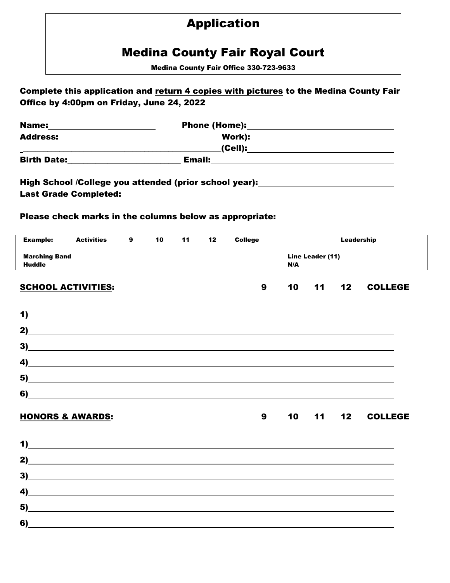# Application

# Medina County Fair Royal Court

Medina County Fair Office 330-723-9633

|                                       | Complete this application and return 4 copies with pictures to the Medina County Fair                                                     |   |    |    |     |                  |    |    |            |                        |
|---------------------------------------|-------------------------------------------------------------------------------------------------------------------------------------------|---|----|----|-----|------------------|----|----|------------|------------------------|
|                                       | Office by 4:00pm on Friday, June 24, 2022                                                                                                 |   |    |    |     |                  |    |    |            |                        |
| Name: _______________________         |                                                                                                                                           |   |    |    |     |                  |    |    |            |                        |
|                                       |                                                                                                                                           |   |    |    |     |                  |    |    |            |                        |
|                                       | <u> 2000 - Jan James James Jan James James James James James James James James James James James James James Jam</u>                      |   |    |    |     |                  |    |    |            |                        |
|                                       |                                                                                                                                           |   |    |    |     |                  |    |    |            |                        |
|                                       | High School /College you attended (prior school year):__________________________<br>Last Grade Completed:<br><u>Last Grade Completed:</u> |   |    |    |     |                  |    |    |            |                        |
|                                       | Please check marks in the columns below as appropriate:                                                                                   |   |    |    |     |                  |    |    |            |                        |
| <b>Example:</b>                       | <b>Activities</b>                                                                                                                         | 9 | 10 | 11 | 12  | <b>College</b>   |    |    | Leadership |                        |
| <b>Marching Band</b><br><b>Huddle</b> |                                                                                                                                           |   |    |    | N/A | Line Leader (11) |    |    |            |                        |
|                                       | <b>SCHOOL ACTIVITIES:</b>                                                                                                                 |   |    |    |     | 9                | 10 | 11 | 12         | <b>COLLEGE</b>         |
|                                       | $\overline{1}$                                                                                                                            |   |    |    |     |                  |    |    |            |                        |
|                                       |                                                                                                                                           |   |    |    |     |                  |    |    |            |                        |
|                                       |                                                                                                                                           |   |    |    |     |                  |    |    |            |                        |
| 4)                                    | <u> 1980 - Andrea Santa Alemania, amerikana amerikana amerikana amerikana amerikana amerikana amerikana amerikan</u>                      |   |    |    |     |                  |    |    |            |                        |
| 5)                                    | <u> 1989 - Johann Stoff, amerikansk politiker (d. 1989)</u>                                                                               |   |    |    |     |                  |    |    |            |                        |
| 6)                                    | <u> 1989 - Johann Stein, fransk politik (d. 1989)</u>                                                                                     |   |    |    |     |                  |    |    |            |                        |
|                                       | HONORS & AWARDS:                                                                                                                          |   |    |    |     |                  |    |    |            | 9  10  11  12  COLLEGE |
|                                       |                                                                                                                                           |   |    |    |     |                  |    |    |            |                        |
|                                       | $\overline{a}$                                                                                                                            |   |    |    |     |                  |    |    |            |                        |
|                                       | 3)                                                                                                                                        |   |    |    |     |                  |    |    |            |                        |
|                                       | $\overline{a}$                                                                                                                            |   |    |    |     |                  |    |    |            |                        |
|                                       | $\overline{5}$                                                                                                                            |   |    |    |     |                  |    |    |            |                        |
|                                       |                                                                                                                                           |   |    |    |     |                  |    |    |            |                        |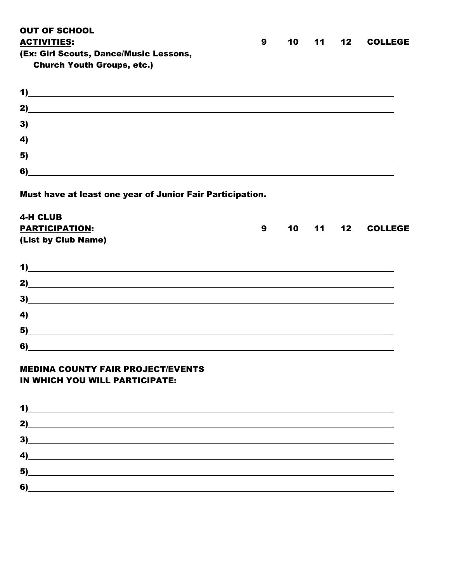OUT OF SCHOOL ACTIVITIES: 9 10 11 12 COLLEGE (Ex: Girl Scouts, Dance/Music Lessons, Church Youth Groups, etc.) 1) 2) 3)

4) 5) 6)

Must have at least one year of Junior Fair Participation.

## 4-H CLUB PARTICIPATION: 3 10 11 12 COLLEGE (List by Club Name)

| 2)                                                                                                                         |  |
|----------------------------------------------------------------------------------------------------------------------------|--|
| 3)                                                                                                                         |  |
| $\left( \frac{4}{2} \right)$                                                                                               |  |
| $\sim$ 5) and $\sim$ 5) and $\sim$ 500 $\sim$ 500 $\sim$ 500 $\sim$ 500 $\sim$ 500 $\sim$ 500 $\sim$ 500 $\sim$ 500 $\sim$ |  |
|                                                                                                                            |  |

# MEDINA COUNTY FAIR PROJECT/EVENTS IN WHICH YOU WILL PARTICIPATE:

|    | $3)$ and $3)$ and $3)$ and $3)$ and $3)$ and $3)$ and $3)$ and $3)$ and $3)$ and $3)$ and $3)$ and $3)$ and $3)$ and $3)$ and $3)$ and $3)$ and $3)$ and $3)$ and $3)$ and $3)$ and $3)$ and $3)$ and $3)$ and $3)$ and $3)$ |  |  |
|----|------------------------------------------------------------------------------------------------------------------------------------------------------------------------------------------------------------------------------|--|--|
|    |                                                                                                                                                                                                                              |  |  |
|    | <u>5)</u>                                                                                                                                                                                                                    |  |  |
| 6) | <u> 1980 - Jan Samuel Barbara, martin di sebagai personal di sebagai personal di sebagai personal di sebagai per</u>                                                                                                         |  |  |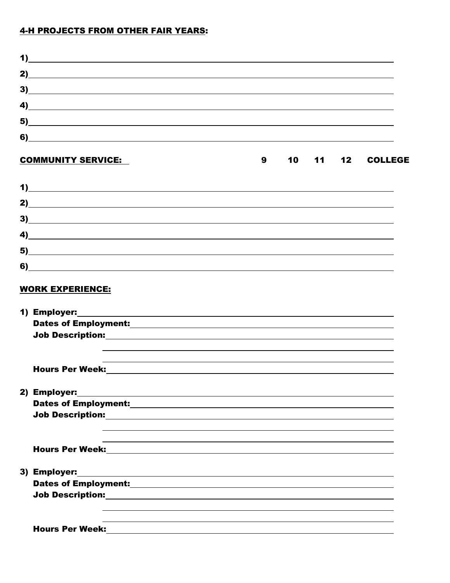## 4-H PROJECTS FROM OTHER FAIR YEARS:

| 2)          |  |
|-------------|--|
| 3)          |  |
|             |  |
| <u>5)</u>   |  |
| $\bullet$ ) |  |

| <b>COMMUNITY SERVICE:</b> | 10 I |  |  |
|---------------------------|------|--|--|
|                           |      |  |  |

| $3)$ and $3)$ and $3)$ and $3)$ and $3)$ and $3)$ and $3)$ and $3)$ and $3)$ and $3)$ and $3)$ and $3)$ and $3)$ and $3)$ and $3)$ and $3)$ and $3)$ and $3)$ and $3)$ and $3)$ and $3)$ and $3)$ and $3)$ and $3)$ and $3)$                                                    |
|---------------------------------------------------------------------------------------------------------------------------------------------------------------------------------------------------------------------------------------------------------------------------------|
| $\overline{a}$                                                                                                                                                                                                                                                                  |
| $\sim$ 5) $\sim$ 500 $\sim$ 500 $\sim$ 500 $\sim$ 500 $\sim$ 500 $\sim$ 500 $\sim$ 500 $\sim$ 500 $\sim$ 500 $\sim$ 500 $\sim$ 500 $\sim$ 500 $\sim$ 500 $\sim$ 500 $\sim$ 500 $\sim$ 500 $\sim$ 500 $\sim$ 500 $\sim$ 500 $\sim$ 500 $\sim$ 500 $\sim$ 500 $\sim$ 500 $\sim$ 5 |
|                                                                                                                                                                                                                                                                                 |

## WORK EXPERIENCE:

| 2) Employer: 2008 2009 2012 2022 2023 2024 2022 2023 2024 2022 2023 2024 2022 2023 2024 2022 2023 2024 2022 20 |
|----------------------------------------------------------------------------------------------------------------|
|                                                                                                                |
|                                                                                                                |
|                                                                                                                |
|                                                                                                                |
|                                                                                                                |
|                                                                                                                |
| 3) Employer: 2008 2012 2022 2023 2024 2022 2022 2023 2024 2022 2023 2024 2022 2023 2024 2022 2023 2024 2025 20 |
|                                                                                                                |
|                                                                                                                |
|                                                                                                                |
|                                                                                                                |
| <b>Hours Per Week:</b>                                                                                         |